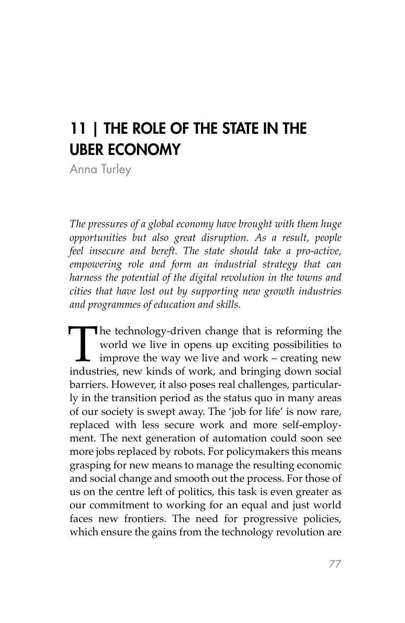# 11 | THE ROLE OF THE STATE IN THE UBER ECONOMY

Anna Turley

*The pressures of a global economy have brought with them huge opportunities but also great disruption. As a result, people feel insecure and bereft. The state should take a pro-active, empowering role and form an industrial strategy that can harness the potential of the digital revolution in the towns and cities that have lost out by supporting new growth industries and programmes of education and skills.*

The technology-driven change that is reforming the world we live in opens up exciting possibilities to improve the way we live and work – creating new industries, new kinds of work, and bringing down social world we live in opens up exciting possibilities to improve the way we live and work – creating new barriers. However, it also poses real challenges, particularly in the transition period as the status quo in many areas of our society is swept away. The 'job for life' is now rare, replaced with less secure work and more self-employment. The next generation of automation could soon see more jobs replaced by robots. For policymakers this means grasping for new means to manage the resulting economic and social change and smooth out the process. For those of us on the centre left of politics, this task is even greater as our commitment to working for an equal and just world faces new frontiers. The need for progressive policies, which ensure the gains from the technology revolution are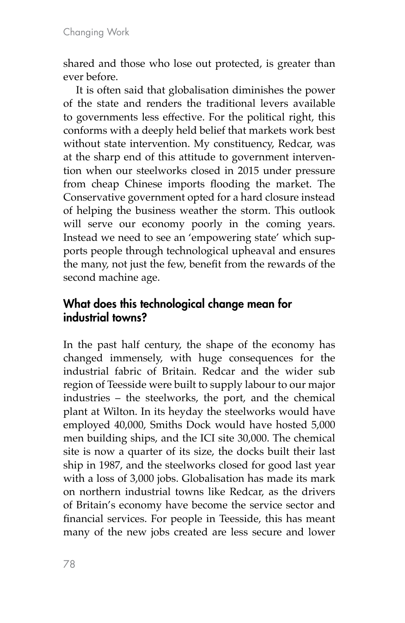shared and those who lose out protected, is greater than ever before.

It is often said that globalisation diminishes the power of the state and renders the traditional levers available to governments less effective. For the political right, this conforms with a deeply held belief that markets work best without state intervention. My constituency, Redcar, was at the sharp end of this attitude to government intervention when our steelworks closed in 2015 under pressure from cheap Chinese imports flooding the market. The Conservative government opted for a hard closure instead of helping the business weather the storm. This outlook will serve our economy poorly in the coming years. Instead we need to see an 'empowering state' which supports people through technological upheaval and ensures the many, not just the few, benefit from the rewards of the second machine age.

## What does this technological change mean for industrial towns?

In the past half century, the shape of the economy has changed immensely, with huge consequences for the industrial fabric of Britain. Redcar and the wider sub region of Teesside were built to supply labour to our major industries – the steelworks, the port, and the chemical plant at Wilton. In its heyday the steelworks would have employed 40,000, Smiths Dock would have hosted 5,000 men building ships, and the ICI site 30,000. The chemical site is now a quarter of its size, the docks built their last ship in 1987, and the steelworks closed for good last year with a loss of 3,000 jobs. Globalisation has made its mark on northern industrial towns like Redcar, as the drivers of Britain's economy have become the service sector and financial services. For people in Teesside, this has meant many of the new jobs created are less secure and lower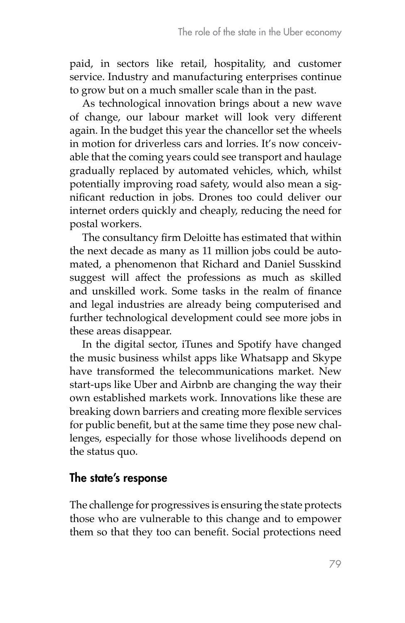paid, in sectors like retail, hospitality, and customer service. Industry and manufacturing enterprises continue to grow but on a much smaller scale than in the past.

As technological innovation brings about a new wave of change, our labour market will look very different again. In the budget this year the chancellor set the wheels in motion for driverless cars and lorries. It's now conceivable that the coming years could see transport and haulage gradually replaced by automated vehicles, which, whilst potentially improving road safety, would also mean a significant reduction in jobs. Drones too could deliver our internet orders quickly and cheaply, reducing the need for postal workers.

The consultancy firm Deloitte has estimated that within the next decade as many as 11 million jobs could be automated, a phenomenon that Richard and Daniel Susskind suggest will affect the professions as much as skilled and unskilled work. Some tasks in the realm of finance and legal industries are already being computerised and further technological development could see more jobs in these areas disappear.

In the digital sector, iTunes and Spotify have changed the music business whilst apps like Whatsapp and Skype have transformed the telecommunications market. New start-ups like Uber and Airbnb are changing the way their own established markets work. Innovations like these are breaking down barriers and creating more flexible services for public benefit, but at the same time they pose new challenges, especially for those whose livelihoods depend on the status quo.

### The state's response

The challenge for progressives is ensuring the state protects those who are vulnerable to this change and to empower them so that they too can benefit. Social protections need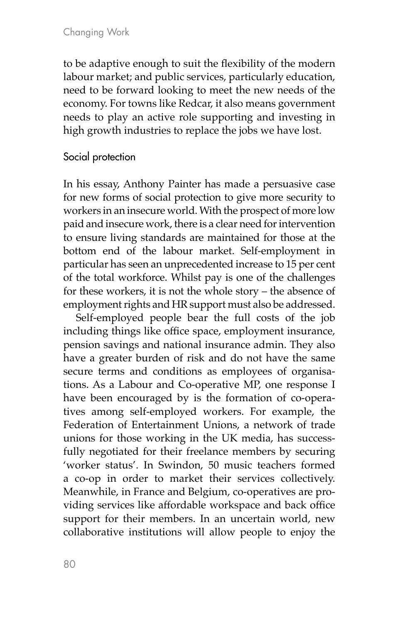to be adaptive enough to suit the flexibility of the modern labour market; and public services, particularly education, need to be forward looking to meet the new needs of the economy. For towns like Redcar, it also means government needs to play an active role supporting and investing in high growth industries to replace the jobs we have lost.

#### Social protection

In his essay, Anthony Painter has made a persuasive case for new forms of social protection to give more security to workers in an insecure world. With the prospect of more low paid and insecure work, there is a clear need for intervention to ensure living standards are maintained for those at the bottom end of the labour market. Self-employment in particular has seen an unprecedented increase to 15 per cent of the total workforce. Whilst pay is one of the challenges for these workers, it is not the whole story – the absence of employment rights and HR support must also be addressed.

Self-employed people bear the full costs of the job including things like office space, employment insurance, pension savings and national insurance admin. They also have a greater burden of risk and do not have the same secure terms and conditions as employees of organisations. As a Labour and Co-operative MP, one response I have been encouraged by is the formation of co-operatives among self-employed workers. For example, the Federation of Entertainment Unions, a network of trade unions for those working in the UK media, has successfully negotiated for their freelance members by securing 'worker status'. In Swindon, 50 music teachers formed a co-op in order to market their services collectively. Meanwhile, in France and Belgium, co-operatives are providing services like affordable workspace and back office support for their members. In an uncertain world, new collaborative institutions will allow people to enjoy the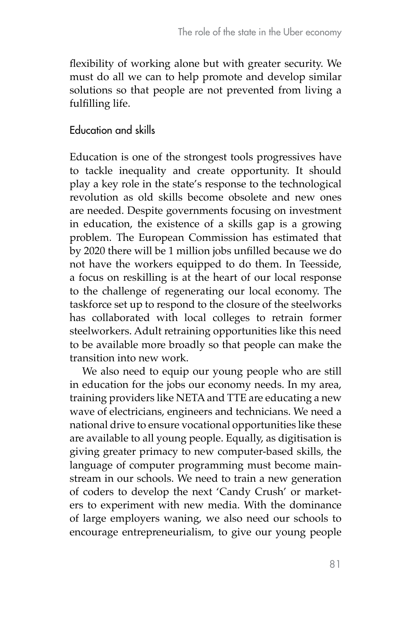flexibility of working alone but with greater security. We must do all we can to help promote and develop similar solutions so that people are not prevented from living a fulfilling life.

Education and skills

Education is one of the strongest tools progressives have to tackle inequality and create opportunity. It should play a key role in the state's response to the technological revolution as old skills become obsolete and new ones are needed. Despite governments focusing on investment in education, the existence of a skills gap is a growing problem. The European Commission has estimated that by 2020 there will be 1 million jobs unfilled because we do not have the workers equipped to do them. In Teesside, a focus on reskilling is at the heart of our local response to the challenge of regenerating our local economy. The taskforce set up to respond to the closure of the steelworks has collaborated with local colleges to retrain former steelworkers. Adult retraining opportunities like this need to be available more broadly so that people can make the transition into new work.

We also need to equip our young people who are still in education for the jobs our economy needs. In my area, training providers like NETA and TTE are educating a new wave of electricians, engineers and technicians. We need a national drive to ensure vocational opportunities like these are available to all young people. Equally, as digitisation is giving greater primacy to new computer-based skills, the language of computer programming must become mainstream in our schools. We need to train a new generation of coders to develop the next 'Candy Crush' or marketers to experiment with new media. With the dominance of large employers waning, we also need our schools to encourage entrepreneurialism, to give our young people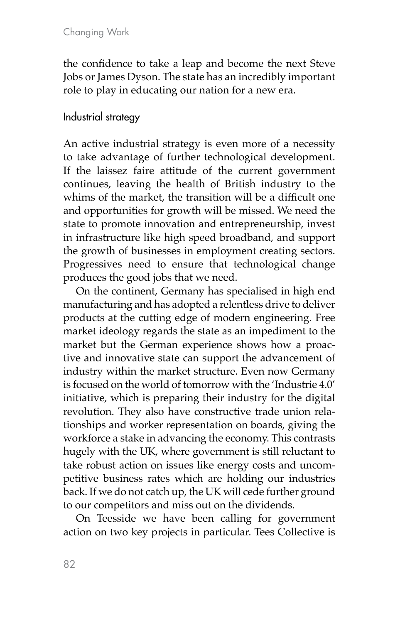the confidence to take a leap and become the next Steve Jobs or James Dyson. The state has an incredibly important role to play in educating our nation for a new era.

#### Industrial strategy

An active industrial strategy is even more of a necessity to take advantage of further technological development. If the laissez faire attitude of the current government continues, leaving the health of British industry to the whims of the market, the transition will be a difficult one and opportunities for growth will be missed. We need the state to promote innovation and entrepreneurship, invest in infrastructure like high speed broadband, and support the growth of businesses in employment creating sectors. Progressives need to ensure that technological change produces the good jobs that we need.

On the continent, Germany has specialised in high end manufacturing and has adopted a relentless drive to deliver products at the cutting edge of modern engineering. Free market ideology regards the state as an impediment to the market but the German experience shows how a proactive and innovative state can support the advancement of industry within the market structure. Even now Germany is focused on the world of tomorrow with the 'Industrie 4.0' initiative, which is preparing their industry for the digital revolution. They also have constructive trade union relationships and worker representation on boards, giving the workforce a stake in advancing the economy. This contrasts hugely with the UK, where government is still reluctant to take robust action on issues like energy costs and uncompetitive business rates which are holding our industries back. If we do not catch up, the UK will cede further ground to our competitors and miss out on the dividends.

On Teesside we have been calling for government action on two key projects in particular. Tees Collective is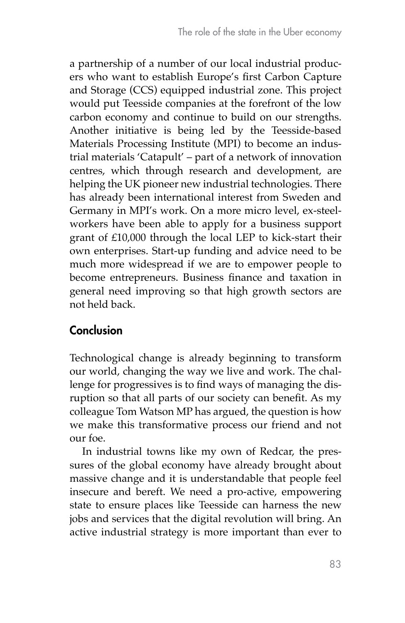a partnership of a number of our local industrial producers who want to establish Europe's first Carbon Capture and Storage (CCS) equipped industrial zone. This project would put Teesside companies at the forefront of the low carbon economy and continue to build on our strengths. Another initiative is being led by the Teesside-based Materials Processing Institute (MPI) to become an industrial materials 'Catapult' – part of a network of innovation centres, which through research and development, are helping the UK pioneer new industrial technologies. There has already been international interest from Sweden and Germany in MPI's work. On a more micro level, ex-steelworkers have been able to apply for a business support grant of £10,000 through the local LEP to kick-start their own enterprises. Start-up funding and advice need to be much more widespread if we are to empower people to become entrepreneurs. Business finance and taxation in general need improving so that high growth sectors are not held back.

# **Conclusion**

Technological change is already beginning to transform our world, changing the way we live and work. The challenge for progressives is to find ways of managing the disruption so that all parts of our society can benefit. As my colleague Tom Watson MP has argued, the question is how we make this transformative process our friend and not our foe.

In industrial towns like my own of Redcar, the pressures of the global economy have already brought about massive change and it is understandable that people feel insecure and bereft. We need a pro-active, empowering state to ensure places like Teesside can harness the new jobs and services that the digital revolution will bring. An active industrial strategy is more important than ever to